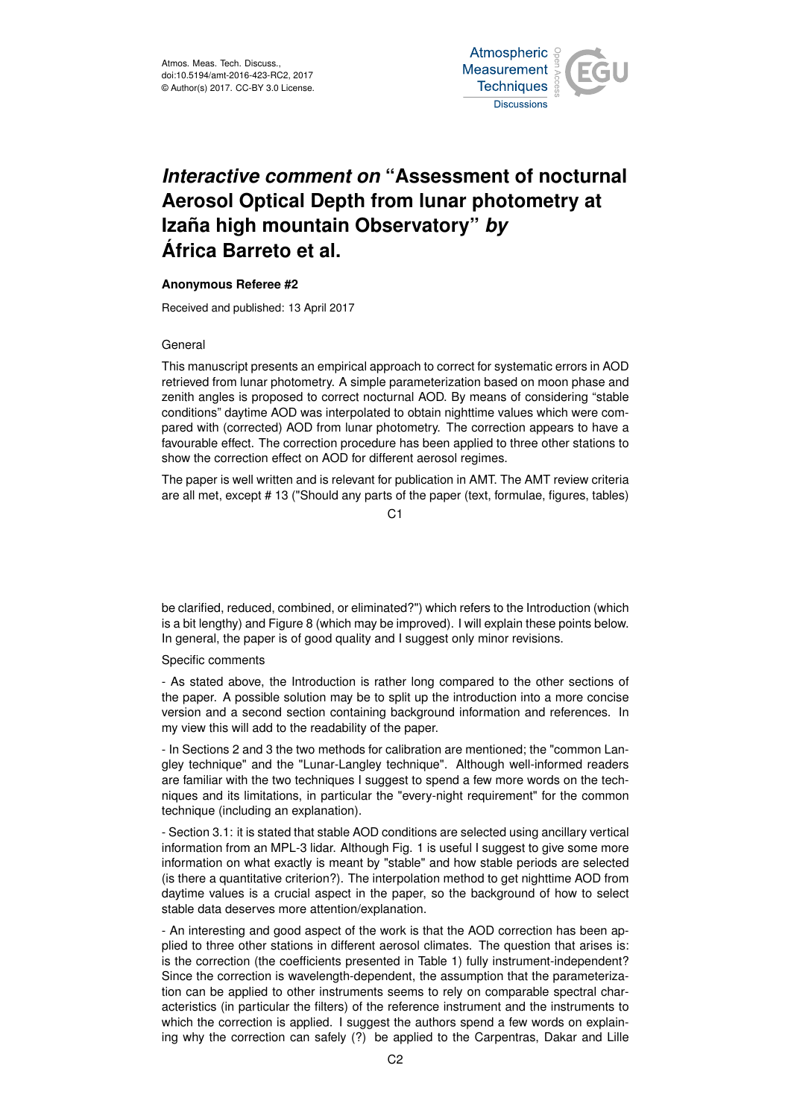

## *Interactive comment on* **"Assessment of nocturnal Aerosol Optical Depth from lunar photometry at Izaña high mountain Observatory"** *by* **África Barreto et al.**

## **Anonymous Referee #2**

Received and published: 13 April 2017

## General

This manuscript presents an empirical approach to correct for systematic errors in AOD retrieved from lunar photometry. A simple parameterization based on moon phase and zenith angles is proposed to correct nocturnal AOD. By means of considering "stable conditions" daytime AOD was interpolated to obtain nighttime values which were compared with (corrected) AOD from lunar photometry. The correction appears to have a favourable effect. The correction procedure has been applied to three other stations to show the correction effect on AOD for different aerosol regimes.

The paper is well written and is relevant for publication in AMT. The AMT review criteria are all met, except # 13 ("Should any parts of the paper (text, formulae, figures, tables)

 $C<sub>1</sub>$ 

be clarified, reduced, combined, or eliminated?") which refers to the Introduction (which is a bit lengthy) and Figure 8 (which may be improved). I will explain these points below. In general, the paper is of good quality and I suggest only minor revisions.

## Specific comments

- As stated above, the Introduction is rather long compared to the other sections of the paper. A possible solution may be to split up the introduction into a more concise version and a second section containing background information and references. In my view this will add to the readability of the paper.

- In Sections 2 and 3 the two methods for calibration are mentioned; the "common Langley technique" and the "Lunar-Langley technique". Although well-informed readers are familiar with the two techniques I suggest to spend a few more words on the techniques and its limitations, in particular the "every-night requirement" for the common technique (including an explanation).

- Section 3.1: it is stated that stable AOD conditions are selected using ancillary vertical information from an MPL-3 lidar. Although Fig. 1 is useful I suggest to give some more information on what exactly is meant by "stable" and how stable periods are selected (is there a quantitative criterion?). The interpolation method to get nighttime AOD from daytime values is a crucial aspect in the paper, so the background of how to select stable data deserves more attention/explanation.

- An interesting and good aspect of the work is that the AOD correction has been applied to three other stations in different aerosol climates. The question that arises is: is the correction (the coefficients presented in Table 1) fully instrument-independent? Since the correction is wavelength-dependent, the assumption that the parameterization can be applied to other instruments seems to rely on comparable spectral characteristics (in particular the filters) of the reference instrument and the instruments to which the correction is applied. I suggest the authors spend a few words on explaining why the correction can safely (?) be applied to the Carpentras, Dakar and Lille